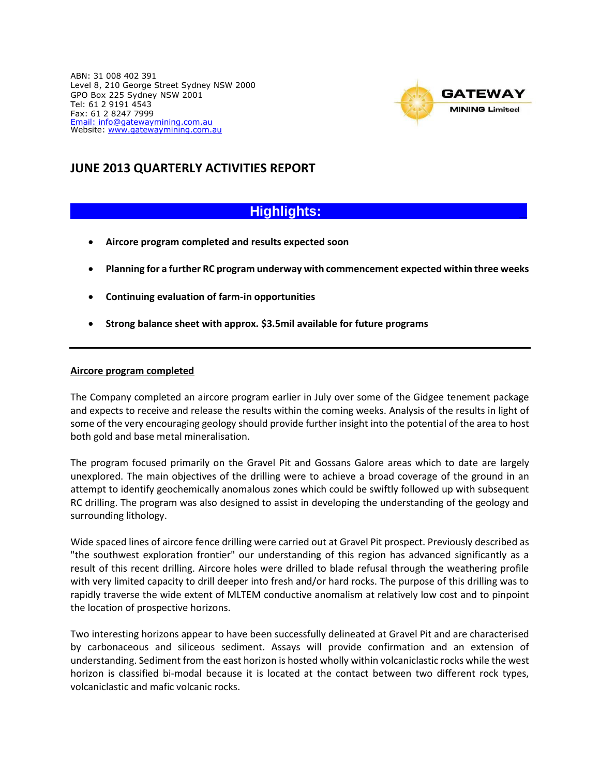ABN: 31 008 402 391 Level 8, 210 George Street Sydney NSW 2000 GPO Box 225 Sydney NSW 2001 Tel: 61 2 9191 4543 Fax: 61 2 8247 7999 [Email: in](mailto:Email:%20gml8@bigpond.com)fo@gatewaymining.com.au Website: [www.gatewaymining.com.au](http://www.gatewaymining.com.au/)



## **JUNE 2013 QUARTERLY ACTIVITIES REPORT**

# **Highlights: \_**

- **Aircore program completed and results expected soon**
- **Planning for a further RC program underway with commencement expected within three weeks**
- **Continuing evaluation of farm-in opportunities**
- **Strong balance sheet with approx. \$3.5mil available for future programs**

### **Aircore program completed**

The Company completed an aircore program earlier in July over some of the Gidgee tenement package and expects to receive and release the results within the coming weeks. Analysis of the results in light of some of the very encouraging geology should provide further insight into the potential of the area to host both gold and base metal mineralisation.

The program focused primarily on the Gravel Pit and Gossans Galore areas which to date are largely unexplored. The main objectives of the drilling were to achieve a broad coverage of the ground in an attempt to identify geochemically anomalous zones which could be swiftly followed up with subsequent RC drilling. The program was also designed to assist in developing the understanding of the geology and surrounding lithology.

Wide spaced lines of aircore fence drilling were carried out at Gravel Pit prospect. Previously described as "the southwest exploration frontier" our understanding of this region has advanced significantly as a result of this recent drilling. Aircore holes were drilled to blade refusal through the weathering profile with very limited capacity to drill deeper into fresh and/or hard rocks. The purpose of this drilling was to rapidly traverse the wide extent of MLTEM conductive anomalism at relatively low cost and to pinpoint the location of prospective horizons.

Two interesting horizons appear to have been successfully delineated at Gravel Pit and are characterised by carbonaceous and siliceous sediment. Assays will provide confirmation and an extension of understanding. Sediment from the east horizon is hosted wholly within volcaniclastic rocks while the west horizon is classified bi-modal because it is located at the contact between two different rock types, volcaniclastic and mafic volcanic rocks.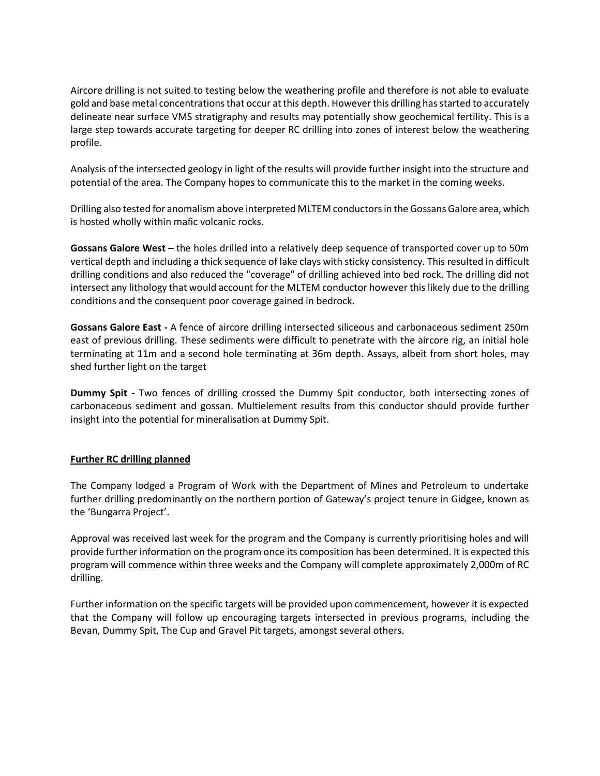Aircore drilling is not suited to testing below the weathering profile and therefore is not able to evaluate gold and base metal concentrations that occur at this depth. Howeverthis drilling has started to accurately delineate near surface VMS stratigraphy and results may potentially show geochemical fertility. This is a large step towards accurate targeting for deeper RC drilling into zones of interest below the weathering profile.

Analysis of the intersected geology in light of the results will provide further insight into the structure and potential of the area. The Company hopes to communicate this to the market in the coming weeks.

Drilling also tested for anomalism above interpreted MLTEM conductors in the Gossans Galore area, which is hosted wholly within mafic volcanic rocks.

**Gossans Galore West –** the holes drilled into a relatively deep sequence of transported cover up to 50m vertical depth and including a thick sequence of lake clays with sticky consistency. This resulted in difficult drilling conditions and also reduced the "coverage" of drilling achieved into bed rock. The drilling did not intersect any lithology that would account for the MLTEM conductor however this likely due to the drilling conditions and the consequent poor coverage gained in bedrock.

**Gossans Galore East -** A fence of aircore drilling intersected siliceous and carbonaceous sediment 250m east of previous drilling. These sediments were difficult to penetrate with the aircore rig, an initial hole terminating at 11m and a second hole terminating at 36m depth. Assays, albeit from short holes, may shed further light on the target

**Dummy Spit -** Two fences of drilling crossed the Dummy Spit conductor, both intersecting zones of carbonaceous sediment and gossan. Multielement results from this conductor should provide further insight into the potential for mineralisation at Dummy Spit.

## **Further RC drilling planned**

The Company lodged a Program of Work with the Department of Mines and Petroleum to undertake further drilling predominantly on the northern portion of Gateway's project tenure in Gidgee, known as the 'Bungarra Project'.

Approval was received last week for the program and the Company is currently prioritising holes and will provide further information on the program once its composition has been determined. It is expected this program will commence within three weeks and the Company will complete approximately 2,000m of RC drilling.

Further information on the specific targets will be provided upon commencement, however it is expected that the Company will follow up encouraging targets intersected in previous programs, including the Bevan, Dummy Spit, The Cup and Gravel Pit targets, amongst several others.